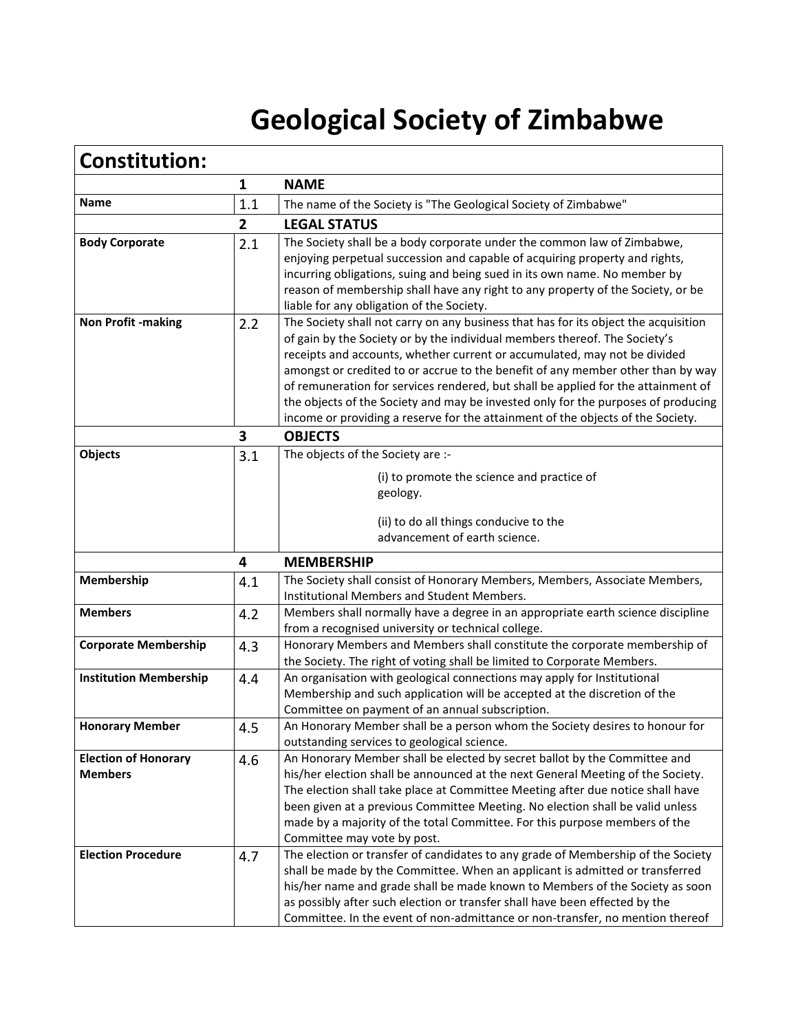## **Geological Society of Zimbabwe**

| <b>Constitution:</b>                          |                |                                                                                                                                                                                                                                                                                                                                                                                                                                                                                                                                                                                                                                             |
|-----------------------------------------------|----------------|---------------------------------------------------------------------------------------------------------------------------------------------------------------------------------------------------------------------------------------------------------------------------------------------------------------------------------------------------------------------------------------------------------------------------------------------------------------------------------------------------------------------------------------------------------------------------------------------------------------------------------------------|
|                                               | $\mathbf{1}$   | <b>NAME</b>                                                                                                                                                                                                                                                                                                                                                                                                                                                                                                                                                                                                                                 |
| Name                                          | 1.1            | The name of the Society is "The Geological Society of Zimbabwe"                                                                                                                                                                                                                                                                                                                                                                                                                                                                                                                                                                             |
|                                               | $\overline{2}$ | <b>LEGAL STATUS</b>                                                                                                                                                                                                                                                                                                                                                                                                                                                                                                                                                                                                                         |
| <b>Body Corporate</b>                         | 2.1            | The Society shall be a body corporate under the common law of Zimbabwe,<br>enjoying perpetual succession and capable of acquiring property and rights,<br>incurring obligations, suing and being sued in its own name. No member by<br>reason of membership shall have any right to any property of the Society, or be                                                                                                                                                                                                                                                                                                                      |
| <b>Non Profit -making</b>                     | 2.2            | liable for any obligation of the Society.<br>The Society shall not carry on any business that has for its object the acquisition<br>of gain by the Society or by the individual members thereof. The Society's<br>receipts and accounts, whether current or accumulated, may not be divided<br>amongst or credited to or accrue to the benefit of any member other than by way<br>of remuneration for services rendered, but shall be applied for the attainment of<br>the objects of the Society and may be invested only for the purposes of producing<br>income or providing a reserve for the attainment of the objects of the Society. |
|                                               | 3              | <b>OBJECTS</b>                                                                                                                                                                                                                                                                                                                                                                                                                                                                                                                                                                                                                              |
| Objects                                       | 3.1            | The objects of the Society are :-<br>(i) to promote the science and practice of<br>geology.<br>(ii) to do all things conducive to the<br>advancement of earth science.                                                                                                                                                                                                                                                                                                                                                                                                                                                                      |
|                                               | 4              | <b>MEMBERSHIP</b>                                                                                                                                                                                                                                                                                                                                                                                                                                                                                                                                                                                                                           |
| Membership                                    | 4.1            | The Society shall consist of Honorary Members, Members, Associate Members,<br>Institutional Members and Student Members.                                                                                                                                                                                                                                                                                                                                                                                                                                                                                                                    |
| <b>Members</b>                                | 4.2            | Members shall normally have a degree in an appropriate earth science discipline<br>from a recognised university or technical college.                                                                                                                                                                                                                                                                                                                                                                                                                                                                                                       |
| <b>Corporate Membership</b>                   | 4.3            | Honorary Members and Members shall constitute the corporate membership of<br>the Society. The right of voting shall be limited to Corporate Members.                                                                                                                                                                                                                                                                                                                                                                                                                                                                                        |
| <b>Institution Membership</b>                 | 4.4            | An organisation with geological connections may apply for Institutional<br>Membership and such application will be accepted at the discretion of the<br>Committee on payment of an annual subscription.                                                                                                                                                                                                                                                                                                                                                                                                                                     |
| <b>Honorary Member</b>                        | 4.5            | An Honorary Member shall be a person whom the Society desires to honour for<br>outstanding services to geological science.                                                                                                                                                                                                                                                                                                                                                                                                                                                                                                                  |
| <b>Election of Honorary</b><br><b>Members</b> | 4.6            | An Honorary Member shall be elected by secret ballot by the Committee and<br>his/her election shall be announced at the next General Meeting of the Society.<br>The election shall take place at Committee Meeting after due notice shall have<br>been given at a previous Committee Meeting. No election shall be valid unless<br>made by a majority of the total Committee. For this purpose members of the<br>Committee may vote by post.                                                                                                                                                                                                |
| <b>Election Procedure</b>                     | 4.7            | The election or transfer of candidates to any grade of Membership of the Society<br>shall be made by the Committee. When an applicant is admitted or transferred<br>his/her name and grade shall be made known to Members of the Society as soon<br>as possibly after such election or transfer shall have been effected by the<br>Committee. In the event of non-admittance or non-transfer, no mention thereof                                                                                                                                                                                                                            |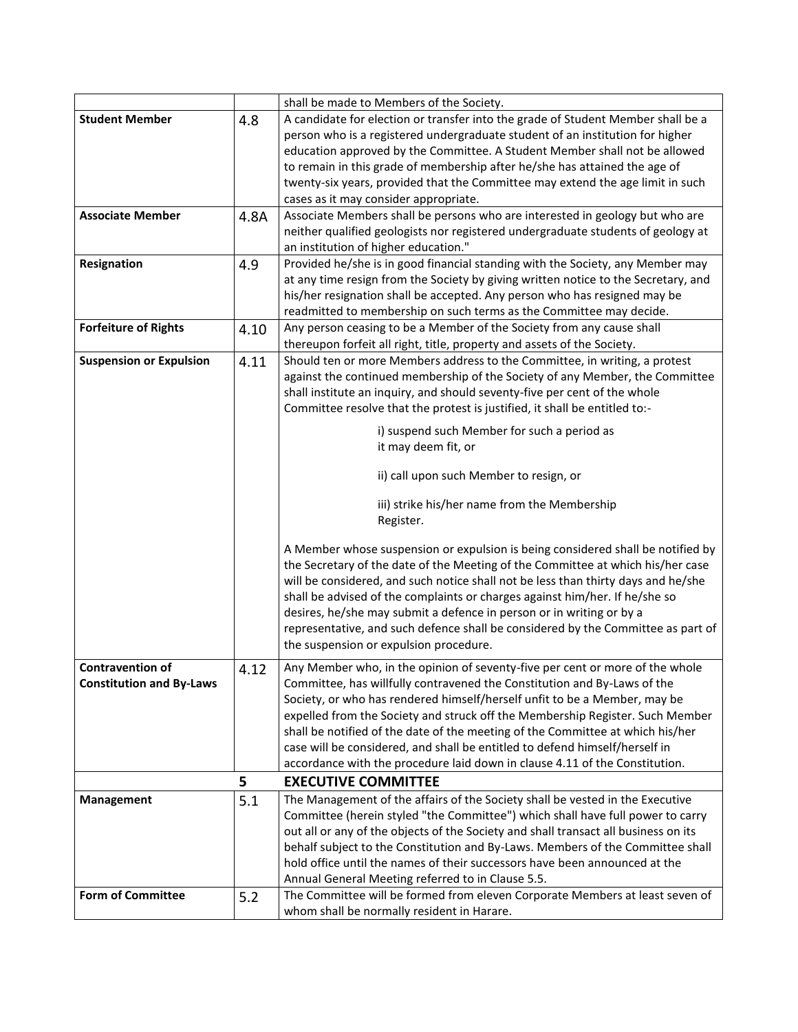|                                 |      | shall be made to Members of the Society.                                            |
|---------------------------------|------|-------------------------------------------------------------------------------------|
| <b>Student Member</b>           | 4.8  | A candidate for election or transfer into the grade of Student Member shall be a    |
|                                 |      | person who is a registered undergraduate student of an institution for higher       |
|                                 |      | education approved by the Committee. A Student Member shall not be allowed          |
|                                 |      | to remain in this grade of membership after he/she has attained the age of          |
|                                 |      | twenty-six years, provided that the Committee may extend the age limit in such      |
|                                 |      | cases as it may consider appropriate.                                               |
| <b>Associate Member</b>         | 4.8A | Associate Members shall be persons who are interested in geology but who are        |
|                                 |      | neither qualified geologists nor registered undergraduate students of geology at    |
|                                 |      | an institution of higher education."                                                |
| Resignation                     | 4.9  | Provided he/she is in good financial standing with the Society, any Member may      |
|                                 |      | at any time resign from the Society by giving written notice to the Secretary, and  |
|                                 |      | his/her resignation shall be accepted. Any person who has resigned may be           |
|                                 |      | readmitted to membership on such terms as the Committee may decide.                 |
| <b>Forfeiture of Rights</b>     | 4.10 | Any person ceasing to be a Member of the Society from any cause shall               |
|                                 |      | thereupon forfeit all right, title, property and assets of the Society.             |
|                                 |      |                                                                                     |
| <b>Suspension or Expulsion</b>  | 4.11 | Should ten or more Members address to the Committee, in writing, a protest          |
|                                 |      | against the continued membership of the Society of any Member, the Committee        |
|                                 |      | shall institute an inquiry, and should seventy-five per cent of the whole           |
|                                 |      | Committee resolve that the protest is justified, it shall be entitled to:-          |
|                                 |      | i) suspend such Member for such a period as                                         |
|                                 |      | it may deem fit, or                                                                 |
|                                 |      |                                                                                     |
|                                 |      | ii) call upon such Member to resign, or                                             |
|                                 |      | iii) strike his/her name from the Membership                                        |
|                                 |      | Register.                                                                           |
|                                 |      |                                                                                     |
|                                 |      | A Member whose suspension or expulsion is being considered shall be notified by     |
|                                 |      | the Secretary of the date of the Meeting of the Committee at which his/her case     |
|                                 |      | will be considered, and such notice shall not be less than thirty days and he/she   |
|                                 |      | shall be advised of the complaints or charges against him/her. If he/she so         |
|                                 |      | desires, he/she may submit a defence in person or in writing or by a                |
|                                 |      | representative, and such defence shall be considered by the Committee as part of    |
|                                 |      | the suspension or expulsion procedure.                                              |
| <b>Contravention of</b>         | 4.12 | Any Member who, in the opinion of seventy-five per cent or more of the whole        |
| <b>Constitution and By-Laws</b> |      | Committee, has willfully contravened the Constitution and By-Laws of the            |
|                                 |      | Society, or who has rendered himself/herself unfit to be a Member, may be           |
|                                 |      | expelled from the Society and struck off the Membership Register. Such Member       |
|                                 |      | shall be notified of the date of the meeting of the Committee at which his/her      |
|                                 |      | case will be considered, and shall be entitled to defend himself/herself in         |
|                                 |      | accordance with the procedure laid down in clause 4.11 of the Constitution.         |
|                                 | 5    | <b>EXECUTIVE COMMITTEE</b>                                                          |
|                                 |      | The Management of the affairs of the Society shall be vested in the Executive       |
| <b>Management</b>               | 5.1  | Committee (herein styled "the Committee") which shall have full power to carry      |
|                                 |      |                                                                                     |
|                                 |      | out all or any of the objects of the Society and shall transact all business on its |
|                                 |      | behalf subject to the Constitution and By-Laws. Members of the Committee shall      |
|                                 |      | hold office until the names of their successors have been announced at the          |
|                                 |      | Annual General Meeting referred to in Clause 5.5.                                   |
| <b>Form of Committee</b>        | 5.2  | The Committee will be formed from eleven Corporate Members at least seven of        |
|                                 |      | whom shall be normally resident in Harare.                                          |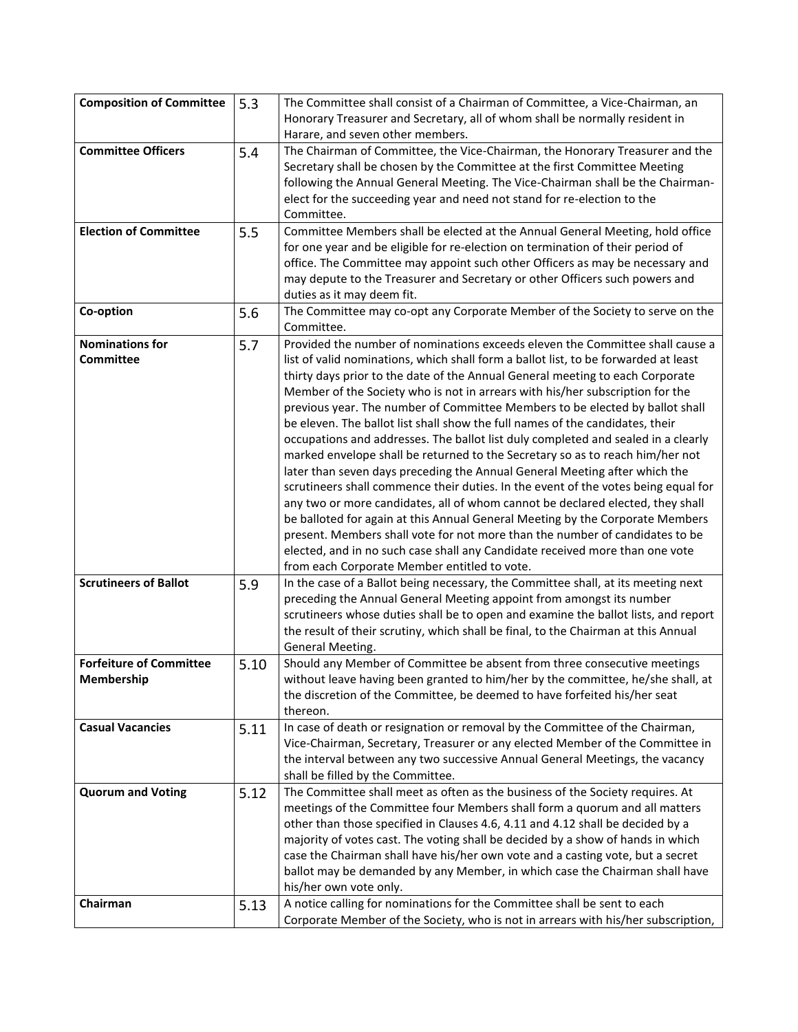| <b>Composition of Committee</b> | 5.3  | The Committee shall consist of a Chairman of Committee, a Vice-Chairman, an                                                                                   |
|---------------------------------|------|---------------------------------------------------------------------------------------------------------------------------------------------------------------|
|                                 |      | Honorary Treasurer and Secretary, all of whom shall be normally resident in                                                                                   |
|                                 |      | Harare, and seven other members.                                                                                                                              |
| <b>Committee Officers</b>       | 5.4  | The Chairman of Committee, the Vice-Chairman, the Honorary Treasurer and the                                                                                  |
|                                 |      | Secretary shall be chosen by the Committee at the first Committee Meeting                                                                                     |
|                                 |      | following the Annual General Meeting. The Vice-Chairman shall be the Chairman-                                                                                |
|                                 |      | elect for the succeeding year and need not stand for re-election to the<br>Committee.                                                                         |
| <b>Election of Committee</b>    | 5.5  | Committee Members shall be elected at the Annual General Meeting, hold office                                                                                 |
|                                 |      | for one year and be eligible for re-election on termination of their period of                                                                                |
|                                 |      | office. The Committee may appoint such other Officers as may be necessary and                                                                                 |
|                                 |      | may depute to the Treasurer and Secretary or other Officers such powers and                                                                                   |
|                                 |      | duties as it may deem fit.                                                                                                                                    |
| Co-option                       | 5.6  | The Committee may co-opt any Corporate Member of the Society to serve on the                                                                                  |
|                                 |      | Committee.                                                                                                                                                    |
| <b>Nominations for</b>          | 5.7  | Provided the number of nominations exceeds eleven the Committee shall cause a                                                                                 |
| Committee                       |      | list of valid nominations, which shall form a ballot list, to be forwarded at least                                                                           |
|                                 |      | thirty days prior to the date of the Annual General meeting to each Corporate                                                                                 |
|                                 |      | Member of the Society who is not in arrears with his/her subscription for the                                                                                 |
|                                 |      | previous year. The number of Committee Members to be elected by ballot shall                                                                                  |
|                                 |      | be eleven. The ballot list shall show the full names of the candidates, their                                                                                 |
|                                 |      | occupations and addresses. The ballot list duly completed and sealed in a clearly                                                                             |
|                                 |      | marked envelope shall be returned to the Secretary so as to reach him/her not<br>later than seven days preceding the Annual General Meeting after which the   |
|                                 |      | scrutineers shall commence their duties. In the event of the votes being equal for                                                                            |
|                                 |      | any two or more candidates, all of whom cannot be declared elected, they shall                                                                                |
|                                 |      | be balloted for again at this Annual General Meeting by the Corporate Members                                                                                 |
|                                 |      | present. Members shall vote for not more than the number of candidates to be                                                                                  |
|                                 |      | elected, and in no such case shall any Candidate received more than one vote                                                                                  |
|                                 |      | from each Corporate Member entitled to vote.                                                                                                                  |
| <b>Scrutineers of Ballot</b>    | 5.9  | In the case of a Ballot being necessary, the Committee shall, at its meeting next                                                                             |
|                                 |      | preceding the Annual General Meeting appoint from amongst its number                                                                                          |
|                                 |      | scrutineers whose duties shall be to open and examine the ballot lists, and report                                                                            |
|                                 |      | the result of their scrutiny, which shall be final, to the Chairman at this Annual                                                                            |
|                                 |      | General Meeting.                                                                                                                                              |
| <b>Forfeiture of Committee</b>  | 5.10 | Should any Member of Committee be absent from three consecutive meetings                                                                                      |
| Membership                      |      | without leave having been granted to him/her by the committee, he/she shall, at                                                                               |
|                                 |      | the discretion of the Committee, be deemed to have forfeited his/her seat                                                                                     |
|                                 |      | thereon.                                                                                                                                                      |
| <b>Casual Vacancies</b>         | 5.11 | In case of death or resignation or removal by the Committee of the Chairman,<br>Vice-Chairman, Secretary, Treasurer or any elected Member of the Committee in |
|                                 |      | the interval between any two successive Annual General Meetings, the vacancy                                                                                  |
|                                 |      | shall be filled by the Committee.                                                                                                                             |
| <b>Quorum and Voting</b>        | 5.12 | The Committee shall meet as often as the business of the Society requires. At                                                                                 |
|                                 |      | meetings of the Committee four Members shall form a quorum and all matters                                                                                    |
|                                 |      | other than those specified in Clauses 4.6, 4.11 and 4.12 shall be decided by a                                                                                |
|                                 |      | majority of votes cast. The voting shall be decided by a show of hands in which                                                                               |
|                                 |      | case the Chairman shall have his/her own vote and a casting vote, but a secret                                                                                |
|                                 |      | ballot may be demanded by any Member, in which case the Chairman shall have                                                                                   |
|                                 |      | his/her own vote only.                                                                                                                                        |
| Chairman                        | 5.13 | A notice calling for nominations for the Committee shall be sent to each                                                                                      |
|                                 |      | Corporate Member of the Society, who is not in arrears with his/her subscription,                                                                             |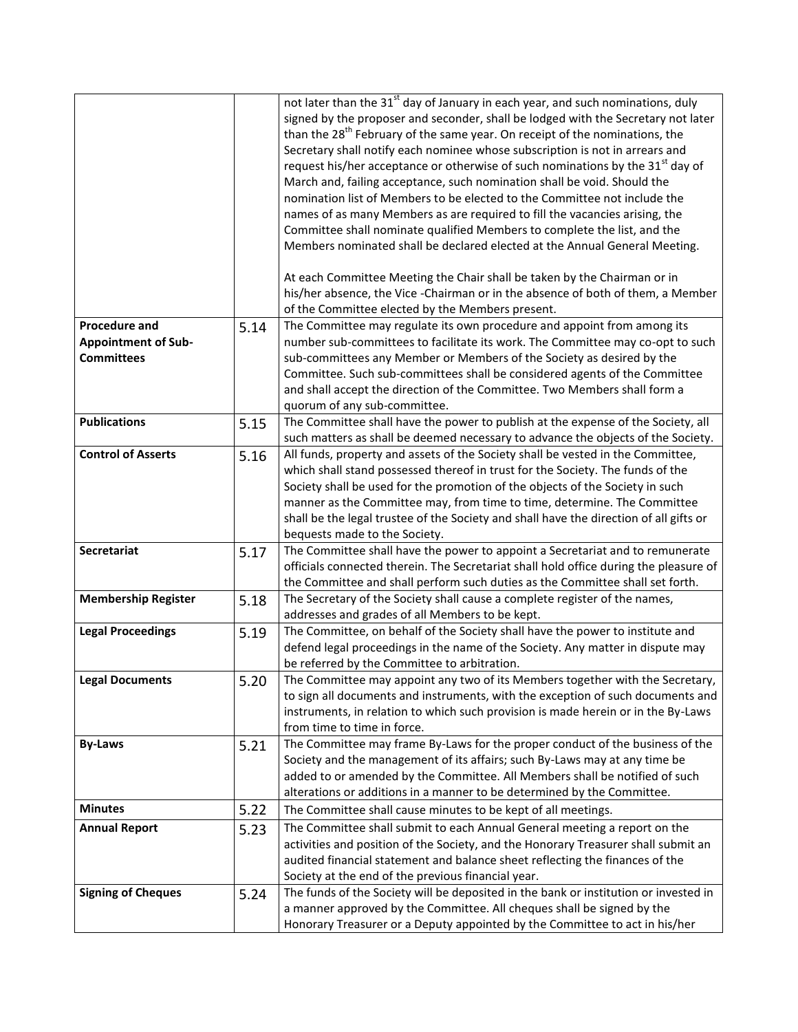|                                                                         |      | not later than the 31 <sup>st</sup> day of January in each year, and such nominations, duly<br>signed by the proposer and seconder, shall be lodged with the Secretary not later<br>than the 28 <sup>th</sup> February of the same year. On receipt of the nominations, the<br>Secretary shall notify each nominee whose subscription is not in arrears and<br>request his/her acceptance or otherwise of such nominations by the 31 <sup>st</sup> day of<br>March and, failing acceptance, such nomination shall be void. Should the<br>nomination list of Members to be elected to the Committee not include the<br>names of as many Members as are required to fill the vacancies arising, the<br>Committee shall nominate qualified Members to complete the list, and the<br>Members nominated shall be declared elected at the Annual General Meeting.<br>At each Committee Meeting the Chair shall be taken by the Chairman or in<br>his/her absence, the Vice - Chairman or in the absence of both of them, a Member |
|-------------------------------------------------------------------------|------|-----------------------------------------------------------------------------------------------------------------------------------------------------------------------------------------------------------------------------------------------------------------------------------------------------------------------------------------------------------------------------------------------------------------------------------------------------------------------------------------------------------------------------------------------------------------------------------------------------------------------------------------------------------------------------------------------------------------------------------------------------------------------------------------------------------------------------------------------------------------------------------------------------------------------------------------------------------------------------------------------------------------------------|
|                                                                         |      | of the Committee elected by the Members present.                                                                                                                                                                                                                                                                                                                                                                                                                                                                                                                                                                                                                                                                                                                                                                                                                                                                                                                                                                            |
| <b>Procedure and</b><br><b>Appointment of Sub-</b><br><b>Committees</b> | 5.14 | The Committee may regulate its own procedure and appoint from among its<br>number sub-committees to facilitate its work. The Committee may co-opt to such<br>sub-committees any Member or Members of the Society as desired by the<br>Committee. Such sub-committees shall be considered agents of the Committee<br>and shall accept the direction of the Committee. Two Members shall form a<br>quorum of any sub-committee.                                                                                                                                                                                                                                                                                                                                                                                                                                                                                                                                                                                               |
| <b>Publications</b>                                                     | 5.15 | The Committee shall have the power to publish at the expense of the Society, all<br>such matters as shall be deemed necessary to advance the objects of the Society.                                                                                                                                                                                                                                                                                                                                                                                                                                                                                                                                                                                                                                                                                                                                                                                                                                                        |
| <b>Control of Asserts</b>                                               | 5.16 | All funds, property and assets of the Society shall be vested in the Committee,<br>which shall stand possessed thereof in trust for the Society. The funds of the<br>Society shall be used for the promotion of the objects of the Society in such<br>manner as the Committee may, from time to time, determine. The Committee<br>shall be the legal trustee of the Society and shall have the direction of all gifts or<br>bequests made to the Society.                                                                                                                                                                                                                                                                                                                                                                                                                                                                                                                                                                   |
| Secretariat                                                             | 5.17 | The Committee shall have the power to appoint a Secretariat and to remunerate<br>officials connected therein. The Secretariat shall hold office during the pleasure of<br>the Committee and shall perform such duties as the Committee shall set forth.                                                                                                                                                                                                                                                                                                                                                                                                                                                                                                                                                                                                                                                                                                                                                                     |
| <b>Membership Register</b>                                              | 5.18 | The Secretary of the Society shall cause a complete register of the names,<br>addresses and grades of all Members to be kept.                                                                                                                                                                                                                                                                                                                                                                                                                                                                                                                                                                                                                                                                                                                                                                                                                                                                                               |
| <b>Legal Proceedings</b>                                                | 5.19 | The Committee, on behalf of the Society shall have the power to institute and<br>defend legal proceedings in the name of the Society. Any matter in dispute may<br>be referred by the Committee to arbitration.                                                                                                                                                                                                                                                                                                                                                                                                                                                                                                                                                                                                                                                                                                                                                                                                             |
| <b>Legal Documents</b>                                                  | 5.20 | The Committee may appoint any two of its Members together with the Secretary,<br>to sign all documents and instruments, with the exception of such documents and<br>instruments, in relation to which such provision is made herein or in the By-Laws<br>from time to time in force.                                                                                                                                                                                                                                                                                                                                                                                                                                                                                                                                                                                                                                                                                                                                        |
| <b>By-Laws</b>                                                          | 5.21 | The Committee may frame By-Laws for the proper conduct of the business of the<br>Society and the management of its affairs; such By-Laws may at any time be<br>added to or amended by the Committee. All Members shall be notified of such<br>alterations or additions in a manner to be determined by the Committee.                                                                                                                                                                                                                                                                                                                                                                                                                                                                                                                                                                                                                                                                                                       |
| <b>Minutes</b>                                                          | 5.22 | The Committee shall cause minutes to be kept of all meetings.                                                                                                                                                                                                                                                                                                                                                                                                                                                                                                                                                                                                                                                                                                                                                                                                                                                                                                                                                               |
| <b>Annual Report</b>                                                    | 5.23 | The Committee shall submit to each Annual General meeting a report on the<br>activities and position of the Society, and the Honorary Treasurer shall submit an<br>audited financial statement and balance sheet reflecting the finances of the<br>Society at the end of the previous financial year.                                                                                                                                                                                                                                                                                                                                                                                                                                                                                                                                                                                                                                                                                                                       |
| <b>Signing of Cheques</b>                                               | 5.24 | The funds of the Society will be deposited in the bank or institution or invested in<br>a manner approved by the Committee. All cheques shall be signed by the<br>Honorary Treasurer or a Deputy appointed by the Committee to act in his/her                                                                                                                                                                                                                                                                                                                                                                                                                                                                                                                                                                                                                                                                                                                                                                               |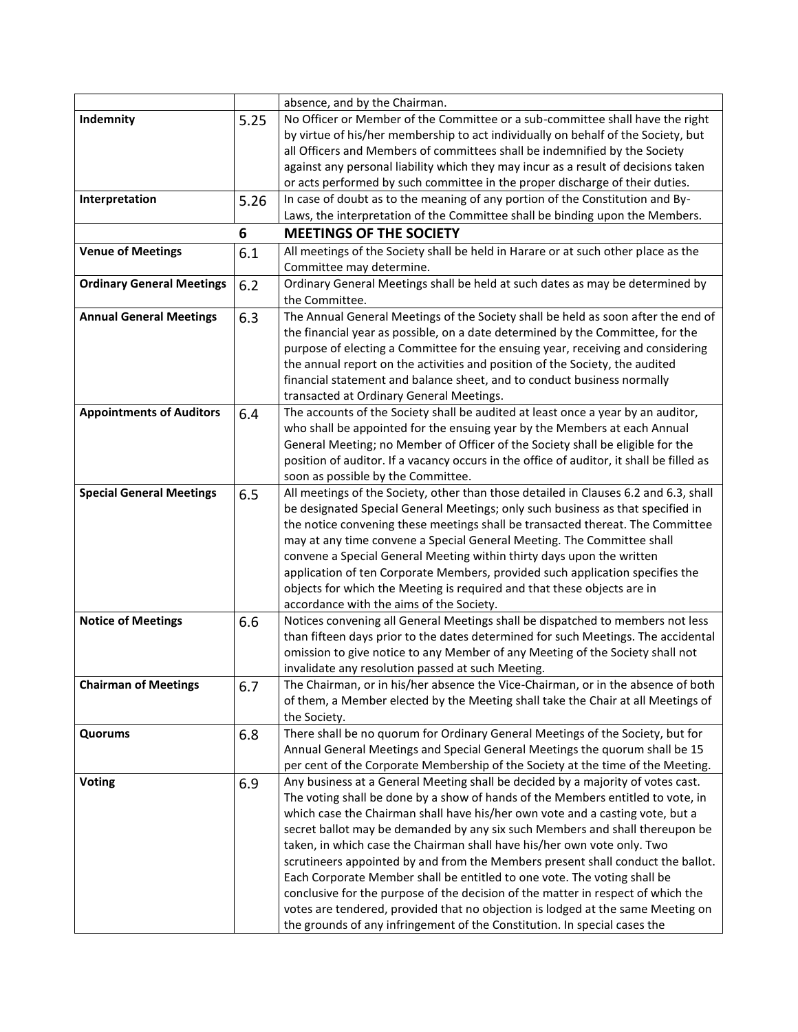|                                  |      | absence, and by the Chairman.                                                                                                                                                                                                                                                                                                                                                                                                                                                                                                                                                                                                                                                                                                                                                                                                     |
|----------------------------------|------|-----------------------------------------------------------------------------------------------------------------------------------------------------------------------------------------------------------------------------------------------------------------------------------------------------------------------------------------------------------------------------------------------------------------------------------------------------------------------------------------------------------------------------------------------------------------------------------------------------------------------------------------------------------------------------------------------------------------------------------------------------------------------------------------------------------------------------------|
| Indemnity                        | 5.25 | No Officer or Member of the Committee or a sub-committee shall have the right<br>by virtue of his/her membership to act individually on behalf of the Society, but<br>all Officers and Members of committees shall be indemnified by the Society<br>against any personal liability which they may incur as a result of decisions taken<br>or acts performed by such committee in the proper discharge of their duties.                                                                                                                                                                                                                                                                                                                                                                                                            |
| Interpretation                   | 5.26 | In case of doubt as to the meaning of any portion of the Constitution and By-<br>Laws, the interpretation of the Committee shall be binding upon the Members.                                                                                                                                                                                                                                                                                                                                                                                                                                                                                                                                                                                                                                                                     |
|                                  | 6    | <b>MEETINGS OF THE SOCIETY</b>                                                                                                                                                                                                                                                                                                                                                                                                                                                                                                                                                                                                                                                                                                                                                                                                    |
| <b>Venue of Meetings</b>         | 6.1  | All meetings of the Society shall be held in Harare or at such other place as the                                                                                                                                                                                                                                                                                                                                                                                                                                                                                                                                                                                                                                                                                                                                                 |
| <b>Ordinary General Meetings</b> | 6.2  | Committee may determine.<br>Ordinary General Meetings shall be held at such dates as may be determined by<br>the Committee.                                                                                                                                                                                                                                                                                                                                                                                                                                                                                                                                                                                                                                                                                                       |
| <b>Annual General Meetings</b>   | 6.3  | The Annual General Meetings of the Society shall be held as soon after the end of<br>the financial year as possible, on a date determined by the Committee, for the<br>purpose of electing a Committee for the ensuing year, receiving and considering<br>the annual report on the activities and position of the Society, the audited<br>financial statement and balance sheet, and to conduct business normally<br>transacted at Ordinary General Meetings.                                                                                                                                                                                                                                                                                                                                                                     |
| <b>Appointments of Auditors</b>  | 6.4  | The accounts of the Society shall be audited at least once a year by an auditor,<br>who shall be appointed for the ensuing year by the Members at each Annual<br>General Meeting; no Member of Officer of the Society shall be eligible for the<br>position of auditor. If a vacancy occurs in the office of auditor, it shall be filled as<br>soon as possible by the Committee.                                                                                                                                                                                                                                                                                                                                                                                                                                                 |
| <b>Special General Meetings</b>  | 6.5  | All meetings of the Society, other than those detailed in Clauses 6.2 and 6.3, shall<br>be designated Special General Meetings; only such business as that specified in<br>the notice convening these meetings shall be transacted thereat. The Committee<br>may at any time convene a Special General Meeting. The Committee shall<br>convene a Special General Meeting within thirty days upon the written<br>application of ten Corporate Members, provided such application specifies the<br>objects for which the Meeting is required and that these objects are in<br>accordance with the aims of the Society.                                                                                                                                                                                                              |
| <b>Notice of Meetings</b>        | 6.6  | Notices convening all General Meetings shall be dispatched to members not less<br>than fifteen days prior to the dates determined for such Meetings. The accidental<br>omission to give notice to any Member of any Meeting of the Society shall not<br>invalidate any resolution passed at such Meeting.                                                                                                                                                                                                                                                                                                                                                                                                                                                                                                                         |
| <b>Chairman of Meetings</b>      | 6.7  | The Chairman, or in his/her absence the Vice-Chairman, or in the absence of both<br>of them, a Member elected by the Meeting shall take the Chair at all Meetings of<br>the Society.                                                                                                                                                                                                                                                                                                                                                                                                                                                                                                                                                                                                                                              |
| Quorums                          | 6.8  | There shall be no quorum for Ordinary General Meetings of the Society, but for<br>Annual General Meetings and Special General Meetings the quorum shall be 15<br>per cent of the Corporate Membership of the Society at the time of the Meeting.                                                                                                                                                                                                                                                                                                                                                                                                                                                                                                                                                                                  |
| Voting                           | 6.9  | Any business at a General Meeting shall be decided by a majority of votes cast.<br>The voting shall be done by a show of hands of the Members entitled to vote, in<br>which case the Chairman shall have his/her own vote and a casting vote, but a<br>secret ballot may be demanded by any six such Members and shall thereupon be<br>taken, in which case the Chairman shall have his/her own vote only. Two<br>scrutineers appointed by and from the Members present shall conduct the ballot.<br>Each Corporate Member shall be entitled to one vote. The voting shall be<br>conclusive for the purpose of the decision of the matter in respect of which the<br>votes are tendered, provided that no objection is lodged at the same Meeting on<br>the grounds of any infringement of the Constitution. In special cases the |